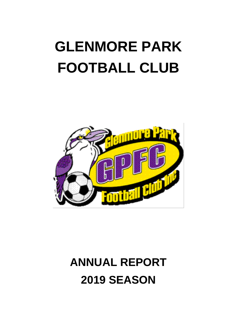# **GLENMORE PARK FOOTBALL CLUB**



# **ANNUAL REPORT 2019 SEASON**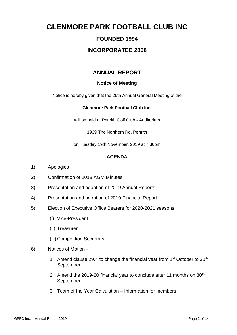# **GLENMORE PARK FOOTBALL CLUB INC**

# **FOUNDED 1994**

# **INCORPORATED 2008**

# **ANNUAL REPORT**

## **Notice of Meeting**

Notice is hereby given that the 26th Annual General Meeting of the

### **Glenmore Park Football Club Inc.**

will be held at Penrith Golf Club - Auditorium

1939 The Northern Rd, Penrith

on Tuesday 19th November, 2019 at 7.30pm

## **AGENDA**

- 1) Apologies
- 2) Confirmation of 2018 AGM Minutes
- 3) Presentation and adoption of 2019 Annual Reports
- 4) Presentation and adoption of 2019 Financial Report
- 5) Election of Executive Office Bearers for 2020-2021 seasons
	- (i) Vice-President
	- (ii) Treasurer
	- (iii) Competition Secretary
- 6) Notices of Motion
	- 1. Amend clause 29.4 to change the financial year from  $1<sup>st</sup>$  October to  $30<sup>th</sup>$ September
	- 2. Amend the 2019-20 financial year to conclude after 11 months on 30<sup>th</sup> September
	- 3. Team of the Year Calculation Information for members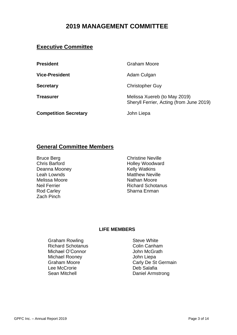# **2019 MANAGEMENT COMMITTEE**

# **Executive Committee**

**Vice-President** Adam Culgan

**Competition Secretary Competition Secretary** 

**President** Graham Moore

**Secretary** Christopher Guy

**Treasurer** Melissa Xuereb (to May 2019) Sheryll Ferrier, Acting (from June 2019)

# **General Committee Members**

Deanna Mooney **Kelly Watkins** Leah Lownds **Matthew Neville** Melissa Moore **Nathan Moore**<br>
Nathan Moore<br>
Neil Ferrier

Net Richard Schota Rod Carley **Sharna Enman** Zach Pinch

Bruce Berg **Christine Neville** Chris Barford **Holley Woodward Richard Schotanus** 

## **LIFE MEMBERS**

Graham Rowling **Steve White** Steve White Richard Schotanus **Colin Canham** Michael O'Connor **Michael O'Connor** John McGrath Michael Rooney John Liepa Lee McCrorie **Deb** Salafia Sean Mitchell **Daniel Armstrong** 

Graham Moore Carly De St Germain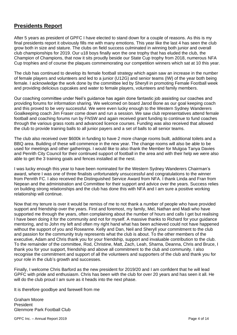# **Presidents Report**

After 5 years as president of GPFC I have elected to stand down for a couple of reasons. As this is my final presidents report it obviously fills me with many emotions. This year like the last 4 has seen the club grow both in size and stature. The clubs on field success culminated in winning both junior and overall club championships for 2019. Our u18 boys finally won the one trophy that has eluded the club, the Champion of Champions, that now it sits proudly beside our State Cup trophy from 2018, numerous NFA Cup trophies and of course the plaques commemorating our competition winners which sat at 10 this year.

The club has continued to develop its female football strategy which again saw an increase in the number of female players and volunteers and led to a junior (U12G) and senior teams (IW) of the year both being female. I acknowledge the work done by the committee led by Sheryll in promoting Female Football week and providing delicious cupcakes and water to female players, volunteers and family members.

Our coaching committee under Neil's guidance has again done fantastic job assisting our coaches and providing forums for information sharing. We welcomed on board Jarod Bone as our goal keeping coach and this proved to be very successful. We were even lucky enough to the Western Sydney Wanderers Goalkeeping coach Jim Fraser come down and run a session. We saw club representatives attend female football and coaching forums run by FNSW and again received grant funding to continue to fund coaches through the various grass roots and advanced licence courses. Funding was also received that allowed the club to provide training balls to all junior payers and a set of balls to all senior teams.

The club also received over \$600k in funding to have 2 more change rooms built, additional toilets and a BBQ area. Building of these will commence in the new year. The change rooms will also be able to be used for meetings and other gatherings. I would like to also thank the Member for Mulgoa Tanya Davies and Penrith City Council for their continued support of football in the area and with their help we were also able to get the 3 training goals and fences installed at the nest.

I was lucky enough this year to have been nominated for the Western Sydney Wanderers Chairman's award, where I was one of three finalists unfortunately unsuccessful and congratulations to the winner from Penrith FC. I also received the Distinguished Service Award from NFA. I thank Linda and Fran from Nepean and the administration and Committee for their support and advice over the years. Success relies on building strong relationships and the club has done this with NFA and I am sure a positive working relationship will continue.

Now that my tenure is over it would be remiss of me to not thank a number of people who have provided support and friendship over the years. First and foremost, my family, Mel, Nathan and Madi who have supported me through the years, often complaining about the number of hours and calls I get but realising I have been doing it for the community and not for myself. A massive thanks to Richard for your guidance mentoring, and to John my left and often my right hand what has been achieved could not have happened without the support of you and Roseanne. Kelly and Dan, Neil and Sheryll your commitment to the club and passion for the community truly represents what the club is about. To the other members of the executive, Adam and Chris thank you for your friendship, support and invaluable contribution to the club. To the remainder of the committee, Rod, Christine, Matt, Zach, Leah, Sharna, Deanna, Chris and Bruce, I thank you for your support, friendship and above all commitment to the club and community. I also recognise the commitment and support of all the volunteers and supporters of the club and thank you for your role in the club's growth and successes.

Finally, I welcome Chris Barford as the new president for 2019/20 and I am confident that he will lead GPFC with pride and enthusiasm. Chris has been with the club for over 20 years and has seen it all. He will do the club proud I am sure as it heads into the next phase.

It is therefore goodbye and farewell from me

Graham Moore President Glenmore Park Football Club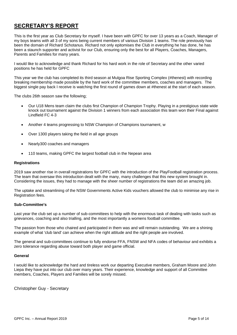# **SECRETARY'S REPORT**

This is the first year as Club Secretary for myself. I have been with GPFC for over 13 years as a Coach, Manager of my boys teams with all 3 of my sons being current members of various Division 1 teams. The role previously has been the domain of Richard Schotanus. Richard not only epitomises the Club in everything he has done, he has been a staunch supporter and activist for our Club, ensuring only the best for all Players, Coaches, Managers, Parents and Families for many years.

I would like to acknowledge and thank Richard for his hard work in the role of Secretary and the other varied positions he has held for GPFC

This year we the club has completed its third season at Mulgoa Rise Sporting Complex (#thenest) with recording breaking membership made possible by the hard work of the committee members, coaches and managers. The biggest single pay back I receive is watching the first round of games down at #thenest at the start of each season.

The clubs 26th season saw the following;

- Our U18 Mens team claim the clubs first Champion of Champion Trophy. Playing in a prestigious state wide knock out tournament against the Division 1 winners from each association this team won their Final against Lindfield FC 4-3
- Another 4 teams progressing to NSW Champion of Champions tournament, w
- Over 1300 players taking the field in all age groups
- Nearly300 coaches and managers
- 110 teams, making GPFC the largest football club in the Nepean area

#### **Registrations**

2019 saw another rise in overall registrations for GPFC with the introduction of the PlayFootball registration process. The team that oversaw this introduction dealt with the many, many challenges that this new system brought in. Considering the issues, they had to manage with the sheer number of registrations the team did an amazing job.

The uptake and streamlining of the NSW Governments Active Kids vouchers allowed the club to minimise any rise in Registration fees.

#### **Sub-Committee's**

Last year the club set up a number of sub-committees to help with the enormous task of dealing with tasks such as grievances, coaching and also trialling, and the most importantly a womens football committee.

The passion from those who chaired and participated in them was and will remain outstanding. We are a shining example of what 'club land' can achieve when the right attitude and the right people are involved.

The general and sub-committees continue to fully endorse FFA, FNSW and NFA codes of behaviour and exhibits a zero tolerance regarding abuse toward both player and game official.

#### **General**

I would like to acknowledge the hard and tireless work our departing Executive members, Graham Moore and John Liepa they have put into our club over many years. Their experience, knowledge and support of all Committee members, Coaches, Players and Families will be sorely missed.

Christopher Guy - Secretary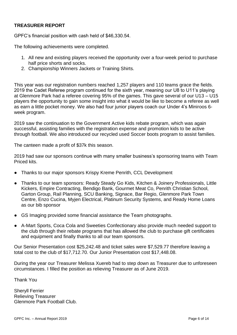## **TREASURER REPORT**

GPFC's financial position with cash held of \$46,330.54.

The following achievements were completed.

- 1. All new and existing players received the opportunity over a four-week period to purchase half price shorts and socks.
- 2. Championship Winners Jackets or Training Shirts.

This year was our registration numbers reached 1,257 players and 110 teams grace the fields. 2019 the Cadet Referee program continued for the sixth year, meaning our U8 to U11's playing at Glenmore Park had a referee covering 95% of the games. This gave several of our U13 – U15 players the opportunity to gain some insight into what it would be like to become a referee as well as earn a little pocket money. We also had four junior players coach our Under 4's Miniroos 6 week program.

2019 saw the continuation to the Government Active kids rebate program, which was again successful, assisting families with the registration expense and promotion kids to be active through football. We also introduced our recycled used Soccer boots program to assist families.

The canteen made a profit of \$37k this season.

2019 had saw our sponsors continue with many smaller business's sponsoring teams with Team Priced kits.

- Thanks to our major sponsors Krispy Kreme Penrith, CCL Development
- Thanks to our team sponsors: Ready Steady Go Kids, Kitchen & Joinery Professionals, Little Kickers, Empire Contracting, Bendigo Bank, Gourmet Meat Co, Penrith Christian School, Garton Group, Rail Planning, SCU Banking, Signace, Bar Regio, Glenmore Park Town Centre, Enzo Cucina, Myjen Electrical, Platinum Security Systems, and Ready Home Loans as our bib sponsor
- GS Imaging provided some financial assistance the Team photographs.
- A-Mart Sports, Coca Cola and Sweeties Confectionary also provide much needed support to the club through their rebate programs that has allowed the club to purchase gift certificates and equipment and finally thanks to all our team sponsors.

Our Senior Presentation cost \$25,242.48 and ticket sales were \$7,529.77 therefore leaving a total cost to the club of \$17,712.70. Our Junior Presentation cost \$17,448.08.

During the year our Treasurer Melissa Xuereb had to step down as Treasurer due to unforeseen circumstances. I filled the position as relieving Treasurer as of June 2019.

Thank You

Sheryll Ferrier Relieving Treasurer Glenmore Park Football Club.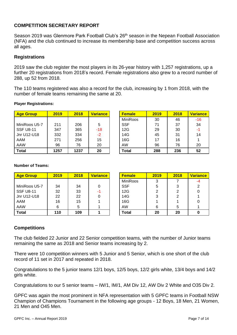## **COMPETITION SECRETARY REPORT**

Season 2019 was Glenmore Park Football Club's 26<sup>th</sup> season in the Nepean Football Association (NFA) and the club continued to increase its membership base and competition success across all ages.

### **Registrations**

2019 saw the club register the most players in its 26-year history with 1,257 registrations, up a further 20 registrations from 2018's record. Female registrations also grew to a record number of 288, up 52 from 2018.

The 110 teams registered was also a record for the club, increasing by 1 from 2018, with the number of female teams remaining the same at 20.

| <b>Age Group</b> | 2019 | 2018 | <b>Variance</b> | <b>Female</b>   | 2019 | 2018 | <b>Variance</b> |
|------------------|------|------|-----------------|-----------------|------|------|-----------------|
|                  |      |      |                 | <b>MiniRoos</b> | 30   | 46   | $-16$           |
| MiniRoos U5-7    | 211  | 206  | 5               | <b>SSF</b>      | 71   | 37   | 34              |
| <b>SSF U8-11</b> | 347  | 365  | $-18$           | 12G             | 29   | 30   | -1              |
| Jnr U12-U18      | 332  | 334  | $-2$            | 14G             | 45   | 31   | 14              |
| AAM              | 271  | 256  | 15              | 16G             | 17   | 16   |                 |
| AAW              | 96   | 76   | 20              | AW              | 96   | 76   | 20              |
| <b>Total</b>     | 1257 | 1237 | 20              | Total           | 288  | 236  | 52              |

|  | <b>Player Registrations:</b> |
|--|------------------------------|
|--|------------------------------|

| <b>Female</b> | 2019 | 2018 | <b>Variance</b> |
|---------------|------|------|-----------------|
| MiniRoos      | 30   | 46   | $-16$           |
| <b>SSF</b>    | 71   | 37   | 34              |
| 12G           | 29   | 30   | $-1$            |
| 14G           | 45   | 31   | 14              |
| 16G           | 17   | 16   | 1               |
| AW            | 96   | 76   | 20              |
| Total         | 288  | 236  | 52              |

#### **Number of Teams:**

| <b>Age Group</b> | 2019 | 2018 | <b>Variance</b> | <b>Female</b>   | 2019 | 2018 | <b>Variance</b> |
|------------------|------|------|-----------------|-----------------|------|------|-----------------|
|                  |      |      |                 | <b>MiniRoos</b> | 3    |      | -4              |
| MiniRoos U5-7    | 34   | 34   |                 | <b>SSF</b>      | 5    | 3    |                 |
| <b>SSF U8-11</b> | 32   | 33   | -1              | 12G             | 2    | っ    |                 |
| Jnr U12-U18      | 22   | 22   |                 | 14G             | 3    | 2    |                 |
| AAM              | 16   | 15   |                 | 16G             |      |      |                 |
| AAW              | 6    | 5    |                 | <b>AW</b>       | 6    | 5    |                 |
| <b>Total</b>     | 110  | 109  |                 | <b>Total</b>    | 20   | 20   |                 |

| <b>Female</b>   | 2019 | 2018           | <b>Variance</b> |
|-----------------|------|----------------|-----------------|
| <b>MiniRoos</b> | 3    |                |                 |
| <b>SSF</b>      | 5    | 3              | $\overline{2}$  |
| 12G             | 2    | $\overline{2}$ | ი               |
| 14G             | 3    | $\overline{2}$ |                 |
| 16G             |      |                |                 |
| AW              | 6    | 5              |                 |
| <b>Total</b>    | 20   | 20             |                 |

## **Competitions**

The club fielded 22 Junior and 22 Senior competition teams, with the number of Junior teams remaining the same as 2018 and Senior teams increasing by 2.

There were 10 competition winners with 5 Junior and 5 Senior, which is one short of the club record of 11 set in 2017 and repeated in 2018.

Congratulations to the 5 junior teams 12/1 boys, 12/5 boys, 12/2 girls white, 13/4 boys and 14/2 girls white.

Congratulations to our 5 senior teams – IW/1, IM/1, AM Div 12, AW Div 2 White and O35 Div 2.

GPFC was again the most prominent in NFA representation with 5 GPFC teams in Football NSW Champion of Champions Tournament in the following age groups - 12 Boys, 18 Men, 21 Women, 21 Men and O45 Men.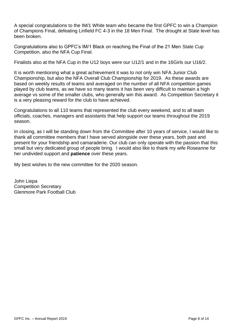A special congratulations to the IM/1 White team who became the first GPFC to win a Champion of Champions Final, defeating Linfield FC 4-3 in the 18 Men Final. The drought at State level has been broken.

Congratulations also to GPFC's IM/1 Black on reaching the Final of the 21 Men State Cup Competition, also the NFA Cup Final.

Finalists also at the NFA Cup in the U12 boys were our U12/1 and in the 16Girls our U16/2.

It is worth mentioning what a great achievement it was to not only win NFA Junior Club Championship, but also the NFA Overall Club Championship for 2019. As these awards are based on weekly results of teams and averaged on the number of all NFA competition games played by club teams, as we have so many teams it has been very difficult to maintain a high average vs some of the smaller clubs, who generally win this award. As Competition Secretary it is a very pleasing reward for the club to have achieved.

Congratulations to all 110 teams that represented the club every weekend, and to all team officials, coaches, managers and assistants that help support our teams throughout the 2019 season.

In closing, as I will be standing down from the Committee after 10 years of service, I would like to thank all committee members that I have served alongside over these years, both past and present for your friendship and camaraderie. Our club can only operate with the passion that this small but very dedicated group of people bring. I would also like to thank my wife Roseanne for her undivided support and **patience** over these years.

My best wishes to the new committee for the 2020 season.

John Liepa Competition Secretary Glenmore Park Football Club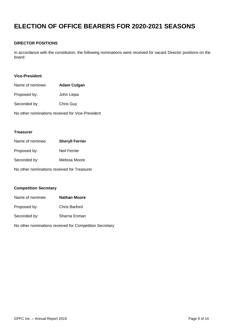# **ELECTION OF OFFICE BEARERS FOR 2020-2021 SEASONS**

#### **DIRECTOR POSITIONS**

In accordance with the constitution, the following nominations were received for vacant Director positions on the board:

#### **Vice-President**

| Name of nominee: | Adam Culgan |
|------------------|-------------|
| Proposed by:     | John Liepa  |
| Seconded by:     | Chris Guy   |

No other nominations received for Vice-President

#### **Treasurer**

| Name of nominee:                            | <b>Sheryll Ferrier</b> |
|---------------------------------------------|------------------------|
| Proposed by:                                | Neil Ferrier           |
| Seconded by:                                | Melissa Moore          |
| No other nominations received for Treasurer |                        |

#### **Competition Secretary**

| Name of nominee: | <b>Nathan Moore</b> |
|------------------|---------------------|
| Proposed by:     | Chris Barford       |
| Seconded by:     | Sharna Enman        |

No other nominations received for Competition Secretary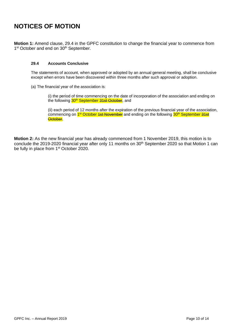# **NOTICES OF MOTION**

**Motion 1:** Amend clause, 29.4 in the GPFC constitution to change the financial year to commence from 1<sup>st</sup> October and end on 30<sup>th</sup> September.

#### **29.4 Accounts Conclusive**

The statements of account, when approved or adopted by an annual general meeting, shall be conclusive except when errors have been discovered within three months after such approval or adoption.

(a) The financial year of the association is:

(i) the period of time commencing on the date of incorporation of the association and ending on the following 30<sup>th</sup> September 31st October, and

(ii) each period of 12 months after the expiration of the previous financial year of the association, commencing on 1<sup>st</sup> October <del>1st November</del> and ending on the following <mark>30<sup>th</sup> September <del>31st</del></mark> October.

**Motion 2:** As the new financial year has already commenced from 1 November 2019, this motion is to conclude the 2019-2020 financial year after only 11 months on 30<sup>th</sup> September 2020 so that Motion 1 can be fully in place from 1<sup>st</sup> October 2020.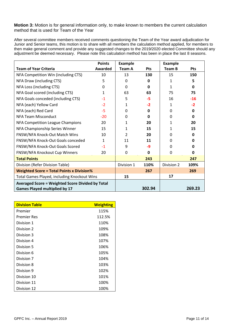**Motion 3:** Motion is for general information only, to make known to members the current calculation method that is used for Team of the Year

After several committee members received comments questioning the Team of the Year award adjudication for Junior and Senior teams, this motion is to share with all members the calculation method applied, for members to then make general comment and provide any suggested changes to the 2019/2020 elected Committee should any adjustment be deemed necessary. Please note this calculation method has been in place the last 8 seasons.

|                                                                                                 | <b>Points</b> | <b>Example</b> |            | <b>Example</b> |            |
|-------------------------------------------------------------------------------------------------|---------------|----------------|------------|----------------|------------|
| <b>Team of Year Criteria</b>                                                                    | Awarded       | Team A         | <b>Pts</b> | Team B         | <b>Pts</b> |
| NFA Competition Win (including CTS)                                                             | 10            | 13             | 130        | 15             | 150        |
| NFA Draw (including CTS)                                                                        | 5             | 0              | 0          | 1              | 5          |
| NFA Loss (including CTS)                                                                        | <sup>0</sup>  | <sup>0</sup>   | 0          | 1              | 0          |
| NFA Goal scored (including CTS)                                                                 | $\mathbf{1}$  | 63             | 63         | 75             | 75         |
| NFA Goals conceded (including CTS)                                                              | $-1$          | 5              | -5         | 16             | $-16$      |
| NFA (each) Yellow Card                                                                          | $-2$          | 1              | $-2$       | 1              | $-2$       |
| NFA (each) Red Card                                                                             | $-5$          | 0              | 0          | 0              | 0          |
| NFA Team Misconduct                                                                             | $-20$         | <sup>0</sup>   | 0          | $\Omega$       | 0          |
| NFA Competition League Champions                                                                | 20            | 1              | 20         | 1              | 20         |
| NFA Championship Series Winner                                                                  | 15            | 1              | 15         | 1              | 15         |
| FNSW/NFA Knock-Out Match Wins                                                                   | 10            | $\mathfrak{p}$ | 20         | $\Omega$       | 0          |
| FNSW/NFA Knock-Out Goals conceded                                                               | $\mathbf{1}$  | 11             | 11         | $\Omega$       | 0          |
| FNSW/NFA Knock-Out Goals Scored                                                                 | $-1$          | 9              | -9         | $\Omega$       | 0          |
| FNSW/NFA Knockout Cup Winners                                                                   | 20            | 0              | 0          | $\Omega$       | 0          |
| <b>Total Points</b>                                                                             |               |                | 243        |                | 247        |
| Division (Refer Division Table)                                                                 |               | Division 1     | 110%       | Division 2     | 109%       |
| <b>Weighted Score = Total Points x Division%</b>                                                |               | 267            |            | 269            |            |
| <b>Total Games Played, including Knockout Wins</b>                                              |               | 15             |            | 17             |            |
| <b>Averaged Score = Weighted Score Divided by Total</b><br><b>Games Played multiplied by 17</b> |               |                | 302.94     |                | 269.23     |

| <b>Division Table</b> | <b>Weighting</b> |
|-----------------------|------------------|
| Premier               | 115%             |
| <b>Premier Res</b>    | 112.5%           |
| Division 1            | 110%             |
| Division 2            | 109%             |
| Division 3            | 108%             |
| Division 4            | 107%             |
| Division 5            | 106%             |
| Division 6            | 105%             |
| Division 7            | 104%             |
| Division 8            | 103%             |
| Division 9            | 102%             |
| Division 10           | 101%             |
| Division 11           | 100%             |
| Division 12           | 100%             |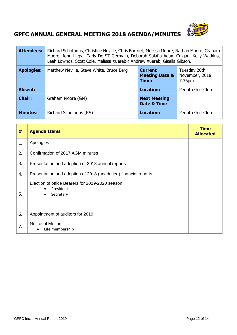

# **GPFC ANNUAL GENERAL MEETING 2018 AGENDA/MINUTES**

| <b>Attendees:</b> | Richard Schotanus, Christine Neville, Chris Barford, Melissa Moore, Nathan Moore, Graham<br>Moore, John Liepa, Carly De ST Germain, Deborah Salafia Adam Culgan, Kelly Watkins,<br>Leah Lownds, Scott Cole, Melissa Xuereb< Andrew Xuereb, Gisella Gibson. |                                    |                   |  |  |  |
|-------------------|------------------------------------------------------------------------------------------------------------------------------------------------------------------------------------------------------------------------------------------------------------|------------------------------------|-------------------|--|--|--|
| <b>Apologies:</b> | Tuesday 20th<br>Matthew Neville, Steve White, Bruce Berg<br><b>Current</b><br>November, 2018<br><b>Meeting Date &amp;</b><br>Time:<br>7.36pm                                                                                                               |                                    |                   |  |  |  |
| <b>Absent:</b>    |                                                                                                                                                                                                                                                            | <b>Location:</b>                   | Penrith Golf Club |  |  |  |
| <b>Chair:</b>     | Graham Moore (GM)                                                                                                                                                                                                                                          | <b>Next Meeting</b><br>Date & Time |                   |  |  |  |
| <b>Minutes:</b>   | Richard Schotanus (RS)                                                                                                                                                                                                                                     | Location:                          | Penrith Golf Club |  |  |  |

| #  | <b>Agenda Items</b>                                                                                 | <b>Time</b><br><b>Allocated</b> |
|----|-----------------------------------------------------------------------------------------------------|---------------------------------|
| 1. | Apologies                                                                                           |                                 |
| 2. | Confirmation of 2017 AGM minutes                                                                    |                                 |
| 3. | Presentation and adoption of 2018 annual reports                                                    |                                 |
| 4. | Presentation and adoption of 2018 (unadutied) financial reports                                     |                                 |
| 5. | Election of office Bearers for 2019-2020 season<br>President<br>$\bullet$<br>Secretary<br>$\bullet$ |                                 |
| 6. | Appointment of auditors for 2019                                                                    |                                 |
| 7. | Notice of Motion<br>Life membership<br>$\bullet$                                                    |                                 |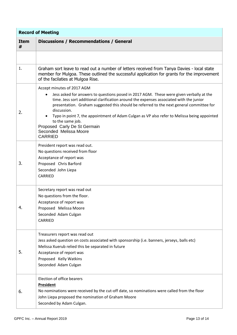| <b>Record of Meeting</b> |                                                                                                                                                                                                                                                                                                                                                                                                                                                                                                                                         |  |
|--------------------------|-----------------------------------------------------------------------------------------------------------------------------------------------------------------------------------------------------------------------------------------------------------------------------------------------------------------------------------------------------------------------------------------------------------------------------------------------------------------------------------------------------------------------------------------|--|
| <b>Item</b><br>#         | <b>Discussions / Recommendations / General</b>                                                                                                                                                                                                                                                                                                                                                                                                                                                                                          |  |
|                          |                                                                                                                                                                                                                                                                                                                                                                                                                                                                                                                                         |  |
| 1.                       | Graham sort leave to read out a number of letters received from Tanya Davies - local state<br>member for Mulgoa. These outlined the successful application for grants for the improvement<br>of the facilaties at Mulgoa Rise.                                                                                                                                                                                                                                                                                                          |  |
| 2.                       | Accept minutes of 2017 AGM<br>Jess asked for answers to questions posed in 2017 AGM. These were given verbally at the<br>$\bullet$<br>time. Jess sort additional clarification around the expenses associated with the junior<br>presentation. Graham suggested this should be referred to the next general committee for<br>discussion.<br>Typo in point 7, the appointment of Adam Culgan as VP also refer to Melissa being appointed<br>to the same job.<br>Proposed Carly De St Germain<br>Seconded Melissa Moore<br><b>CARRIED</b> |  |
| 3.                       | President report was read out.<br>No questions received from floor<br>Acceptance of report was<br>Proposed Chris Barford<br>Seconded John Liepa<br>CARRIED                                                                                                                                                                                                                                                                                                                                                                              |  |
| 4.                       | Secretary report was read out<br>No questions from the floor.<br>Acceptance of report was<br>Proposed Melissa Moore<br>Seconded Adam Culgan<br>CARRIED                                                                                                                                                                                                                                                                                                                                                                                  |  |
| 5.                       | Treasurers report was read out<br>Jess asked question on costs associated with sponsorship (i.e. banners, jerseys, balls etc)<br>Melissa Xuerub relied this be separated in future<br>Acceptance of report was<br>Proposed Kelly Watkins<br>Seconded Adam Culgan                                                                                                                                                                                                                                                                        |  |
| 6.                       | Election of office bearers<br><b>President</b><br>No nominations were received by the cut-off date, so nominations were called from the floor<br>John Liepa proposed the nomination of Graham Moore<br>Seconded by Adam Culgan.                                                                                                                                                                                                                                                                                                         |  |